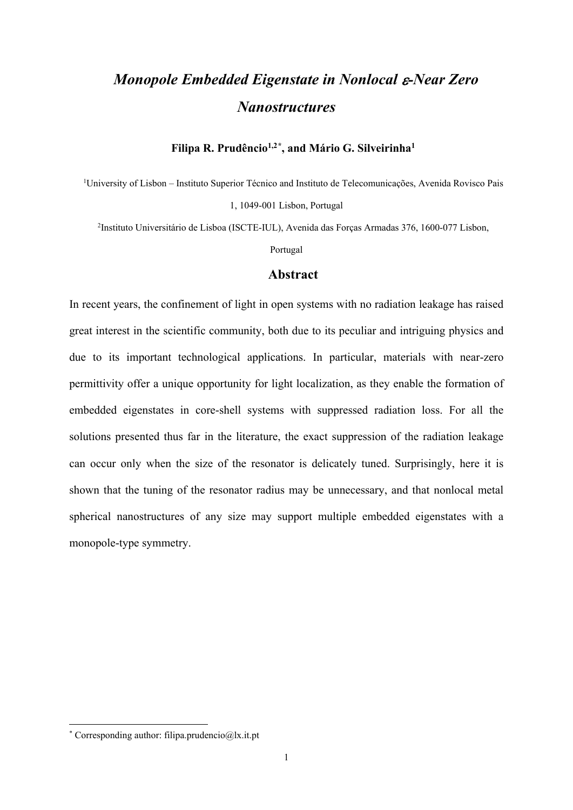# *Monopole Embedded Eigenstate in Nonlocal* ε*-Near Zero Nanostructures*

#### **Filipa R. Prudêncio1,2[\\*](#page-0-0) , and Mário G. Silveirinha1**

1 University of Lisbon – Instituto Superior Técnico and Instituto de Telecomunicações, Avenida Rovisco Pais 1, 1049-001 Lisbon, Portugal

2 Instituto Universitário de Lisboa (ISCTE-IUL), Avenida das Forças Armadas 376, 1600-077 Lisbon,

Portugal

### **Abstract**

In recent years, the confinement of light in open systems with no radiation leakage has raised great interest in the scientific community, both due to its peculiar and intriguing physics and due to its important technological applications. In particular, materials with near-zero permittivity offer a unique opportunity for light localization, as they enable the formation of embedded eigenstates in core-shell systems with suppressed radiation loss. For all the solutions presented thus far in the literature, the exact suppression of the radiation leakage can occur only when the size of the resonator is delicately tuned. Surprisingly, here it is shown that the tuning of the resonator radius may be unnecessary, and that nonlocal metal spherical nanostructures of any size may support multiple embedded eigenstates with a monopole-type symmetry.

<span id="page-0-0"></span><sup>\*</sup> Corresponding author: filipa.prudencio@lx.it.pt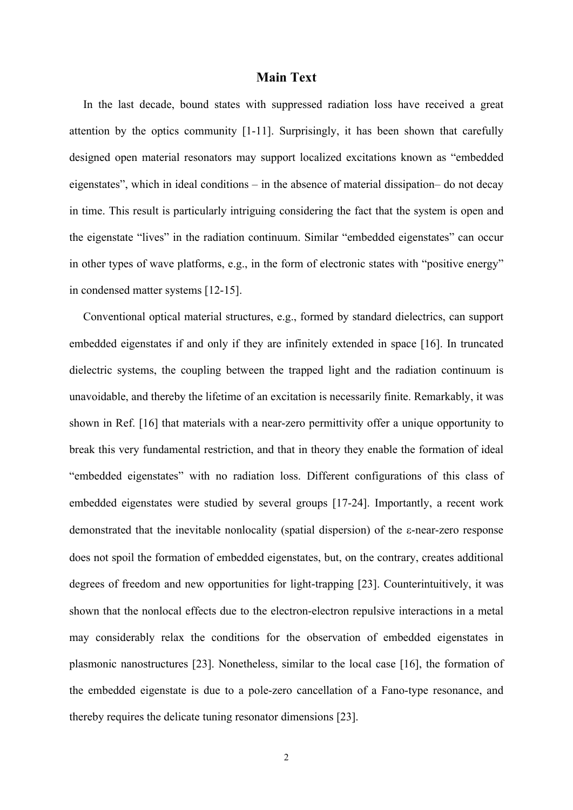## **Main Text**

In the last decade, bound states with suppressed radiation loss have received a great attention by the optics community [\[1-](#page-9-0)[11\]](#page-10-0). Surprisingly, it has been shown that carefully designed open material resonators may support localized excitations known as "embedded eigenstates", which in ideal conditions – in the absence of material dissipation– do not decay in time. This result is particularly intriguing considering the fact that the system is open and the eigenstate "lives" in the radiation continuum. Similar "embedded eigenstates" can occur in other types of wave platforms, e.g., in the form of electronic states with "positive energy" in condensed matter systems [\[12](#page-10-1)[-15\]](#page-10-2).

Conventional optical material structures, e.g., formed by standard dielectrics, can support embedded eigenstates if and only if they are infinitely extended in space [\[16\]](#page-10-3). In truncated dielectric systems, the coupling between the trapped light and the radiation continuum is unavoidable, and thereby the lifetime of an excitation is necessarily finite. Remarkably, it was shown in Ref. [\[16\]](#page-10-3) that materials with a near-zero permittivity offer a unique opportunity to break this very fundamental restriction, and that in theory they enable the formation of ideal "embedded eigenstates" with no radiation loss. Different configurations of this class of embedded eigenstates were studied by several groups [\[17-](#page-10-4)[24\]](#page-11-0). Importantly, a recent work demonstrated that the inevitable nonlocality (spatial dispersion) of the ε-near-zero response does not spoil the formation of embedded eigenstates, but, on the contrary, creates additional degrees of freedom and new opportunities for light-trapping [\[23\]](#page-11-1). Counterintuitively, it was shown that the nonlocal effects due to the electron-electron repulsive interactions in a metal may considerably relax the conditions for the observation of embedded eigenstates in plasmonic nanostructures [\[23\]](#page-11-1). Nonetheless, similar to the local case [\[16\]](#page-10-3), the formation of the embedded eigenstate is due to a pole-zero cancellation of a Fano-type resonance, and thereby requires the delicate tuning resonator dimensions [\[23\]](#page-11-1).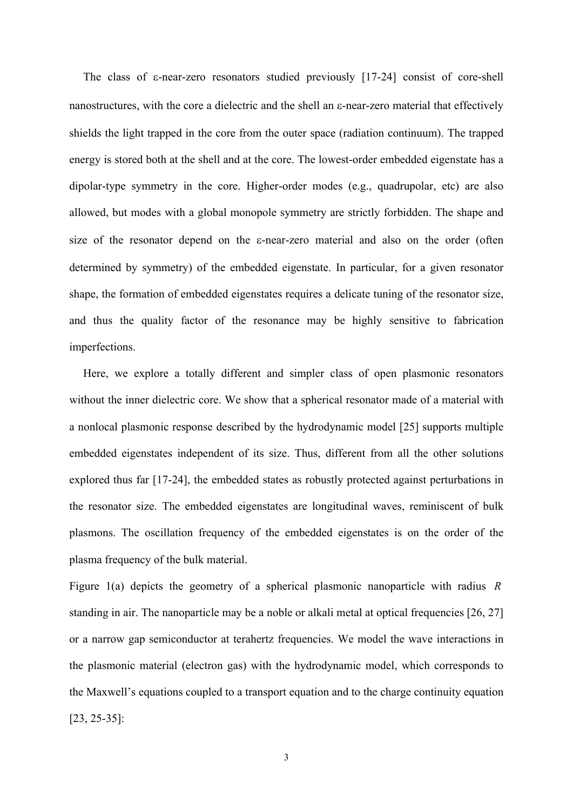The class of ε-near-zero resonators studied previously [\[17-](#page-10-4)[24\]](#page-11-0) consist of core-shell nanostructures, with the core a dielectric and the shell an ε-near-zero material that effectively shields the light trapped in the core from the outer space (radiation continuum). The trapped energy is stored both at the shell and at the core. The lowest-order embedded eigenstate has a dipolar-type symmetry in the core. Higher-order modes (e.g., quadrupolar, etc) are also allowed, but modes with a global monopole symmetry are strictly forbidden. The shape and size of the resonator depend on the ε-near-zero material and also on the order (often determined by symmetry) of the embedded eigenstate. In particular, for a given resonator shape, the formation of embedded eigenstates requires a delicate tuning of the resonator size, and thus the quality factor of the resonance may be highly sensitive to fabrication imperfections.

Here, we explore a totally different and simpler class of open plasmonic resonators without the inner dielectric core. We show that a spherical resonator made of a material with a nonlocal plasmonic response described by the hydrodynamic model [\[25\]](#page-11-2) supports multiple embedded eigenstates independent of its size. Thus, different from all the other solutions explored thus far [\[17](#page-10-4)[-24\]](#page-11-0), the embedded states as robustly protected against perturbations in the resonator size. The embedded eigenstates are longitudinal waves, reminiscent of bulk plasmons. The oscillation frequency of the embedded eigenstates is on the order of the plasma frequency of the bulk material.

Figure [1\(](#page-13-0)a) depicts the geometry of a spherical plasmonic nanoparticle with radius *R* standing in air. The nanoparticle may be a noble or alkali metal at optical frequencies [\[26,](#page-11-3) [27\]](#page-11-4) or a narrow gap semiconductor at terahertz frequencies. We model the wave interactions in the plasmonic material (electron gas) with the hydrodynamic model, which corresponds to the Maxwell's equations coupled to a transport equation and to the charge continuity equation [\[23,](#page-11-1) [25](#page-11-2)[-35\]](#page-12-0):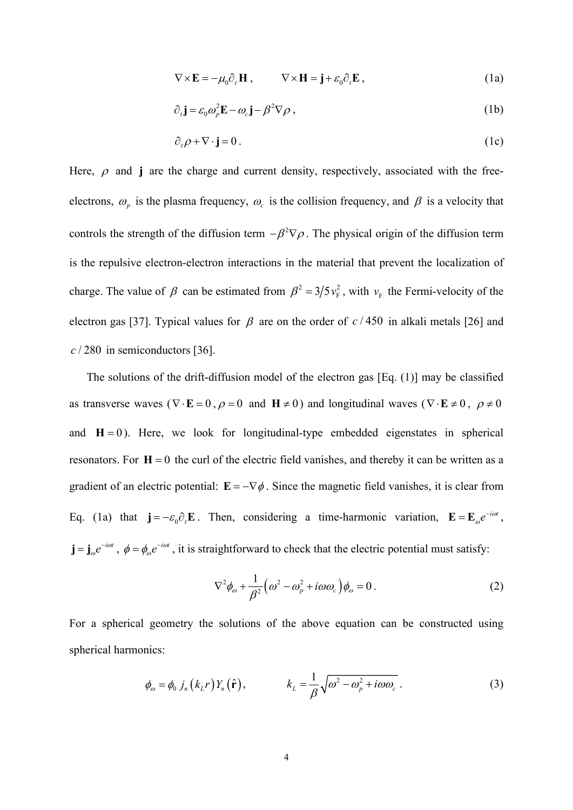<span id="page-3-0"></span>
$$
\nabla \times \mathbf{E} = -\mu_0 \partial_t \mathbf{H} , \qquad \nabla \times \mathbf{H} = \mathbf{j} + \varepsilon_0 \partial_t \mathbf{E} , \qquad (1a)
$$

$$
\partial_t \mathbf{j} = \varepsilon_0 \omega_p^2 \mathbf{E} - \omega_c \mathbf{j} - \beta^2 \nabla \rho \,, \tag{1b}
$$

$$
\partial_t \rho + \nabla \cdot \mathbf{j} = 0. \tag{1c}
$$

Here,  $\rho$  and **j** are the charge and current density, respectively, associated with the freeelectrons,  $\omega_p$  is the plasma frequency,  $\omega_c$  is the collision frequency, and  $\beta$  is a velocity that controls the strength of the diffusion term  $-\beta^2 \nabla \rho$ . The physical origin of the diffusion term is the repulsive electron-electron interactions in the material that prevent the localization of charge. The value of  $\beta$  can be estimated from  $\beta^2 = 3/5 v_F^2$ , with  $v_F$  the Fermi-velocity of the electron gas [\[37\]](#page-12-1). Typical values for  $\beta$  are on the order of  $c/450$  in alkali metals [\[26\]](#page-11-3) and *c* / 280 in semiconductors [\[36\]](#page-12-2).

The solutions of the drift-diffusion model of the electron gas [Eq. [\(1\)](#page-3-0)] may be classified as transverse waves ( $\nabla \cdot \mathbf{E} = 0$ ,  $\rho = 0$  and  $\mathbf{H} \neq 0$ ) and longitudinal waves ( $\nabla \cdot \mathbf{E} \neq 0$ ,  $\rho \neq 0$ and  $H = 0$ ). Here, we look for longitudinal-type embedded eigenstates in spherical resonators. For  $H = 0$  the curl of the electric field vanishes, and thereby it can be written as a gradient of an electric potential:  $\mathbf{E} = -\nabla \phi$ . Since the magnetic field vanishes, it is clear from Eq. [\(1a](#page-3-0)) that  $\mathbf{j} = -\varepsilon_0 \partial_t \mathbf{E}$ . Then, considering a time-harmonic variation,  $\mathbf{E} = \mathbf{E}_{\omega} e^{-i\omega t}$ ,  $\mathbf{j} = \mathbf{j}_{\omega} e^{-i\omega t}$ ,  $\phi = \phi_{\omega} e^{-i\omega t}$ , it is straightforward to check that the electric potential must satisfy:

<span id="page-3-1"></span>
$$
\nabla^2 \phi_{\omega} + \frac{1}{\beta^2} \Big( \omega^2 - \omega_p^2 + i \omega \omega_c \Big) \phi_{\omega} = 0 \,. \tag{2}
$$

For a spherical geometry the solutions of the above equation can be constructed using spherical harmonics:

$$
\phi_{\omega} = \phi_0 j_n (k_L r) Y_n (\hat{\mathbf{r}}), \qquad k_L = \frac{1}{\beta} \sqrt{\omega^2 - \omega_p^2 + i \omega \omega_c} \,. \tag{3}
$$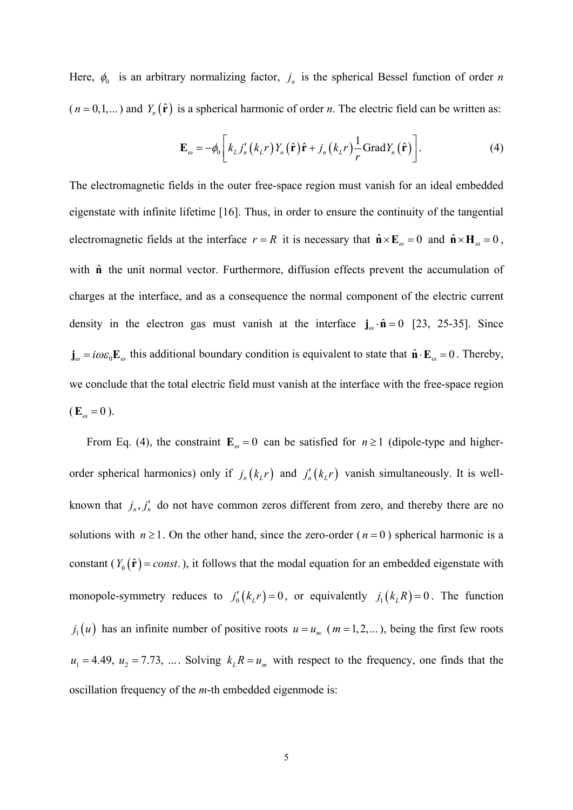Here,  $\phi_0$  is an arbitrary normalizing factor,  $j_n$  is the spherical Bessel function of order *n*  $(n = 0, 1,...)$  and  $Y_n(\hat{\mathbf{r}})$  is a spherical harmonic of order *n*. The electric field can be written as:

<span id="page-4-0"></span>
$$
\mathbf{E}_{\omega} = -\phi_0 \bigg[ k_L j_n' \big( k_L r \big) Y_n \big( \hat{\mathbf{r}} \big) \hat{\mathbf{r}} + j_n \big( k_L r \big) \frac{1}{r} \text{Grad} Y_n \big( \hat{\mathbf{r}} \big) \bigg]. \tag{4}
$$

The electromagnetic fields in the outer free-space region must vanish for an ideal embedded eigenstate with infinite lifetime [\[16\]](#page-10-3). Thus, in order to ensure the continuity of the tangential electromagnetic fields at the interface  $r = R$  it is necessary that  $\hat{\mathbf{n}} \times \mathbf{E}_{\omega} = 0$  and  $\hat{\mathbf{n}} \times \mathbf{H}_{\omega} = 0$ , with  $\hat{\bf{n}}$  the unit normal vector. Furthermore, diffusion effects prevent the accumulation of charges at the interface, and as a consequence the normal component of the electric current density in the electron gas must vanish at the interface  $j_{\omega} \cdot \hat{n} = 0$  [\[23,](#page-11-1) [25-](#page-11-2)[35\]](#page-12-0). Since  $\mathbf{j}_{\omega} = i\omega \varepsilon_0 \mathbf{E}_{\omega}$  this additional boundary condition is equivalent to state that  $\mathbf{\hat{n}} \cdot \mathbf{E}_{\omega} = 0$ . Thereby, we conclude that the total electric field must vanish at the interface with the free-space region  $(E_{\omega} = 0).$ 

From Eq. [\(4\),](#page-4-0) the constraint  $\mathbf{E}_{\omega} = 0$  can be satisfied for  $n \ge 1$  (dipole-type and higherorder spherical harmonics) only if  $j_n(k_l r)$  and  $j'_n(k_l r)$  vanish simultaneously. It is wellknown that  $j_n$ ,  $j'_n$  do not have common zeros different from zero, and thereby there are no solutions with  $n \ge 1$ . On the other hand, since the zero-order ( $n = 0$ ) spherical harmonic is a constant ( $Y_0(\hat{\bf r}) = const.$ ), it follows that the modal equation for an embedded eigenstate with monopole-symmetry reduces to  $j_0'(k_L r) = 0$ , or equivalently  $j_1(k_L R) = 0$ . The function  $j_1(u)$  has an infinite number of positive roots  $u = u_m$  ( $m = 1, 2,...$ ), being the first few roots  $u_1 = 4.49$ ,  $u_2 = 7.73$ , .... Solving  $k_l R = u_m$  with respect to the frequency, one finds that the oscillation frequency of the *m*-th embedded eigenmode is: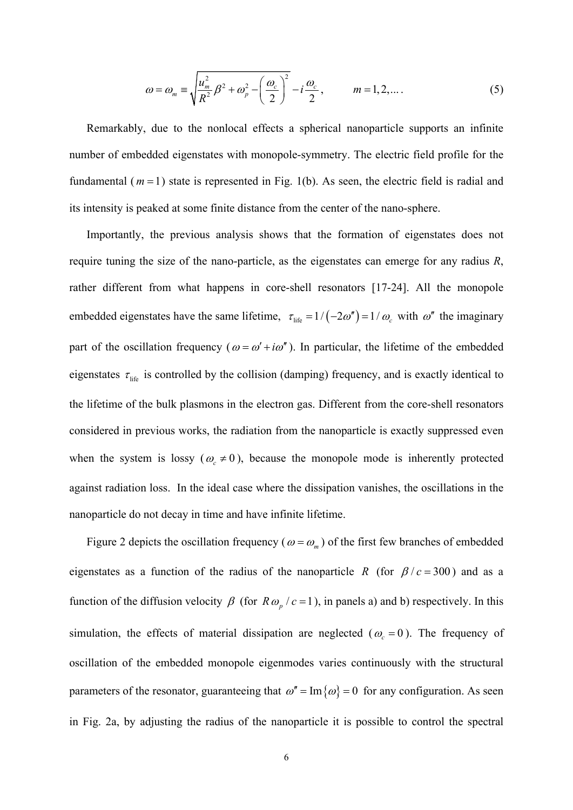$$
\omega = \omega_m \equiv \sqrt{\frac{u_m^2}{R^2} \beta^2 + \omega_p^2 - \left(\frac{\omega_c}{2}\right)^2} - i\frac{\omega_c}{2}, \qquad m = 1, 2, \dots \tag{5}
$$

Remarkably, due to the nonlocal effects a spherical nanoparticle supports an infinite number of embedded eigenstates with monopole-symmetry. The electric field profile for the fundamental ( *m* =1) state is represented in Fig. [1\(](#page-13-0)b). As seen, the electric field is radial and its intensity is peaked at some finite distance from the center of the nano-sphere.

Importantly, the previous analysis shows that the formation of eigenstates does not require tuning the size of the nano-particle, as the eigenstates can emerge for any radius *R*, rather different from what happens in core-shell resonators [\[17-](#page-10-4)[24\]](#page-11-0). All the monopole embedded eigenstates have the same lifetime,  $\tau_{\text{life}} = 1/ (-2\omega'') = 1/\omega_c$  with  $\omega''$  the imaginary part of the oscillation frequency ( $\omega = \omega' + i\omega''$ ). In particular, the lifetime of the embedded eigenstates  $\tau_{\text{life}}$  is controlled by the collision (damping) frequency, and is exactly identical to the lifetime of the bulk plasmons in the electron gas. Different from the core-shell resonators considered in previous works, the radiation from the nanoparticle is exactly suppressed even when the system is lossy ( $\omega_c \neq 0$ ), because the monopole mode is inherently protected against radiation loss. In the ideal case where the dissipation vanishes, the oscillations in the nanoparticle do not decay in time and have infinite lifetime.

Figure [2](#page-14-0) depicts the oscillation frequency ( $\omega = \omega_m$ ) of the first few branches of embedded eigenstates as a function of the radius of the nanoparticle *R* (for  $\beta/c = 300$ ) and as a function of the diffusion velocity  $\beta$  (for  $R\omega_p / c = 1$ ), in panels a) and b) respectively. In this simulation, the effects of material dissipation are neglected ( $\omega_c = 0$ ). The frequency of oscillation of the embedded monopole eigenmodes varies continuously with the structural parameters of the resonator, guaranteeing that  $\omega'' = \text{Im}\{\omega\} = 0$  for any configuration. As seen in Fig. [2a](#page-14-0), by adjusting the radius of the nanoparticle it is possible to control the spectral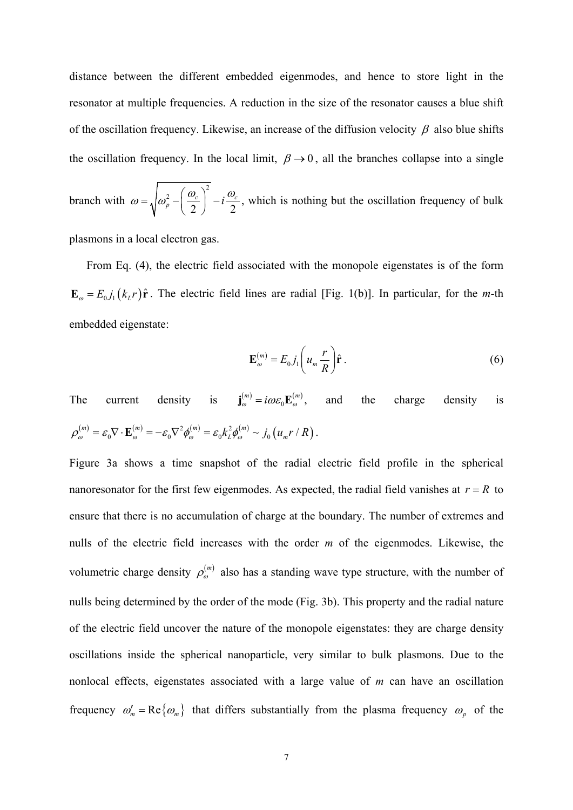distance between the different embedded eigenmodes, and hence to store light in the resonator at multiple frequencies. A reduction in the size of the resonator causes a blue shift of the oscillation frequency. Likewise, an increase of the diffusion velocity  $\beta$  also blue shifts the oscillation frequency. In the local limit,  $\beta \rightarrow 0$ , all the branches collapse into a single

branch with 2 2 2 2  $\omega = \sqrt{\omega_p^2 - \left(\frac{\omega_c}{2}\right) - i\frac{\omega_c}{2}}$  $=\sqrt{\omega_p^2-\left(\frac{\omega_c}{2}\right)^2-i\frac{\omega_c}{2}}$ , which is nothing but the oscillation frequency of bulk

plasmons in a local electron gas.

From Eq. [\(4\),](#page-4-0) the electric field associated with the monopole eigenstates is of the form  $\mathbf{E}_{\omega} = E_0 j_1 (k_L r) \hat{\mathbf{r}}$ . The electric field lines are radial [Fig. [1\(](#page-13-0)b)]. In particular, for the *m*-th embedded eigenstate:

$$
\mathbf{E}_{\omega}^{(m)} = E_0 j_1 \left( u_m \frac{r}{R} \right) \hat{\mathbf{r}} \,. \tag{6}
$$

The current density is  $\mathbf{j}_{\omega}^{(m)} = i\omega \varepsilon_0 \mathbf{E}_{\omega}^{(m)}$ , and the charge density is  $\rho_{\omega}^{(m)} = \varepsilon_0 \nabla \cdot \mathbf{E}_{\omega}^{(m)} = -\varepsilon_0 \nabla^2 \phi_{\omega}^{(m)} = \varepsilon_0 k_L^2 \phi_{\omega}^{(m)} \sim j_0 \left( u_m r / R \right).$ 

Figure [3a](#page-15-0) shows a time snapshot of the radial electric field profile in the spherical nanoresonator for the first few eigenmodes. As expected, the radial field vanishes at  $r = R$  to ensure that there is no accumulation of charge at the boundary. The number of extremes and nulls of the electric field increases with the order *m* of the eigenmodes. Likewise, the volumetric charge density  $\rho_{\omega}^{(m)}$  also has a standing wave type structure, with the number of nulls being determined by the order of the mode (Fig. [3b](#page-15-0)). This property and the radial nature of the electric field uncover the nature of the monopole eigenstates: they are charge density oscillations inside the spherical nanoparticle, very similar to bulk plasmons. Due to the nonlocal effects, eigenstates associated with a large value of *m* can have an oscillation frequency  $\omega'_m = \text{Re} \{ \omega_m \}$  that differs substantially from the plasma frequency  $\omega_p$  of the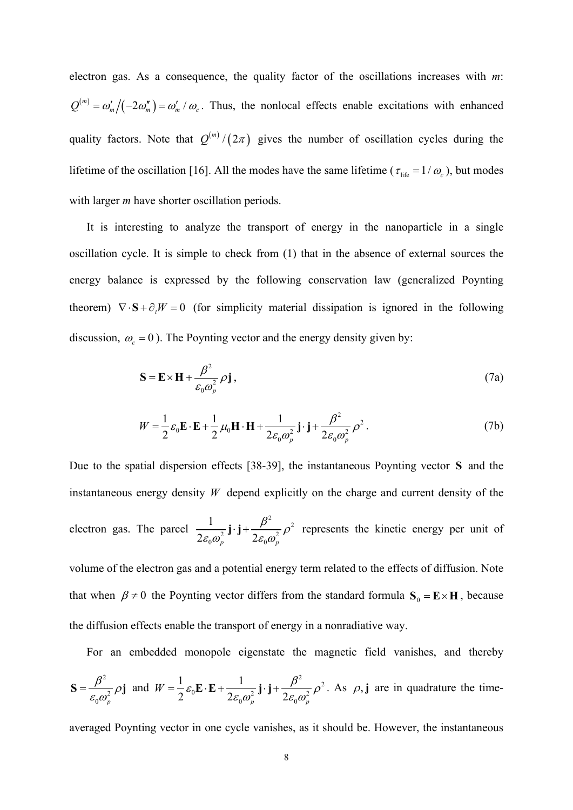electron gas. As a consequence, the quality factor of the oscillations increases with *m*:  $Q^{(m)} = \omega'_m/(-2\omega''_m) = \omega'_m/\omega_c$ . Thus, the nonlocal effects enable excitations with enhanced quality factors. Note that  $Q^{(m)}/(2\pi)$  gives the number of oscillation cycles during the lifetime of the oscillation [\[16\]](#page-10-3). All the modes have the same lifetime ( $\tau_{\text{life}} = 1/\omega_c$ ), but modes with larger *m* have shorter oscillation periods.

It is interesting to analyze the transport of energy in the nanoparticle in a single oscillation cycle. It is simple to check from [\(1\)](#page-3-0) that in the absence of external sources the energy balance is expressed by the following conservation law (generalized Poynting theorem)  $\nabla \cdot \mathbf{S} + \partial_t W = 0$  (for simplicity material dissipation is ignored in the following discussion,  $\omega_c = 0$ ). The Poynting vector and the energy density given by:

$$
\mathbf{S} = \mathbf{E} \times \mathbf{H} + \frac{\beta^2}{\varepsilon_0 \omega_p^2} \rho \mathbf{j},\tag{7a}
$$

$$
W = \frac{1}{2} \varepsilon_0 \mathbf{E} \cdot \mathbf{E} + \frac{1}{2} \mu_0 \mathbf{H} \cdot \mathbf{H} + \frac{1}{2 \varepsilon_0 \omega_p^2} \mathbf{j} \cdot \mathbf{j} + \frac{\beta^2}{2 \varepsilon_0 \omega_p^2} \rho^2.
$$
 (7b)

Due to the spatial dispersion effects [\[38-](#page-12-3)[39\]](#page-12-4), the instantaneous Poynting vector **S** and the instantaneous energy density *W* depend explicitly on the charge and current density of the electron gas. The parcel <sup>2</sup><sup>2</sup> 2 J J  $2e^{2}$  $0^{\omega_p}$  200 1  $2\mathcal{E}_0\omega_p^2$ <sup>3</sup>  $\sum_{p}$   $2\mathcal{E}_0\omega_p^2$  $\frac{1}{\varepsilon_0 \omega^2} \mathbf{j} \cdot \mathbf{j} + \frac{\beta^2}{2 \varepsilon_0 \omega^2} \rho^2$  represents the kinetic energy per unit of volume of the electron gas and a potential energy term related to the effects of diffusion. Note that when  $\beta \neq 0$  the Poynting vector differs from the standard formula  $S_0 = E \times H$ , because the diffusion effects enable the transport of energy in a nonradiative way.

For an embedded monopole eigenstate the magnetic field vanishes, and thereby

$$
\mathbf{S} = \frac{\beta^2}{\varepsilon_0 \omega_p^2} \rho \mathbf{j} \text{ and } W = \frac{1}{2} \varepsilon_0 \mathbf{E} \cdot \mathbf{E} + \frac{1}{2 \varepsilon_0 \omega_p^2} \mathbf{j} \cdot \mathbf{j} + \frac{\beta^2}{2 \varepsilon_0 \omega_p^2} \rho^2. \text{ As } \rho, \mathbf{j} \text{ are in quadrature the time-}
$$

averaged Poynting vector in one cycle vanishes, as it should be. However, the instantaneous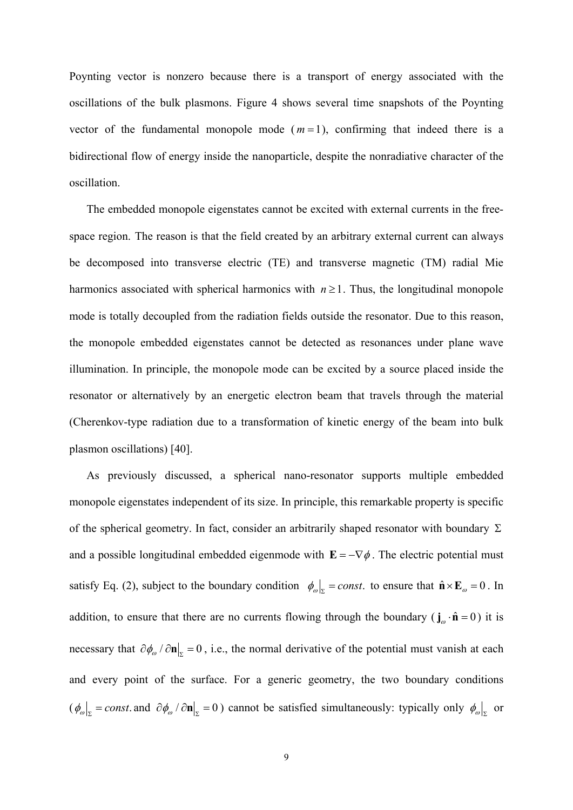Poynting vector is nonzero because there is a transport of energy associated with the oscillations of the bulk plasmons. Figure [4](#page-16-0) shows several time snapshots of the Poynting vector of the fundamental monopole mode  $(m=1)$ , confirming that indeed there is a bidirectional flow of energy inside the nanoparticle, despite the nonradiative character of the oscillation.

The embedded monopole eigenstates cannot be excited with external currents in the freespace region. The reason is that the field created by an arbitrary external current can always be decomposed into transverse electric (TE) and transverse magnetic (TM) radial Mie harmonics associated with spherical harmonics with  $n \ge 1$ . Thus, the longitudinal monopole mode is totally decoupled from the radiation fields outside the resonator. Due to this reason, the monopole embedded eigenstates cannot be detected as resonances under plane wave illumination. In principle, the monopole mode can be excited by a source placed inside the resonator or alternatively by an energetic electron beam that travels through the material (Cherenkov-type radiation due to a transformation of kinetic energy of the beam into bulk plasmon oscillations) [\[40\]](#page-12-5).

As previously discussed, a spherical nano-resonator supports multiple embedded monopole eigenstates independent of its size. In principle, this remarkable property is specific of the spherical geometry. In fact, consider an arbitrarily shaped resonator with boundary  $\Sigma$ and a possible longitudinal embedded eigenmode with  $\mathbf{E} = -\nabla \phi$ . The electric potential must satisfy Eq. [\(2\),](#page-3-1) subject to the boundary condition  $\phi_{\omega}|_{\Sigma} = const.$  to ensure that  $\hat{\mathbf{n}} \times \mathbf{E}_{\omega} = 0$ . In addition, to ensure that there are no currents flowing through the boundary ( $\mathbf{j}_{\omega} \cdot \hat{\mathbf{n}} = 0$ ) it is necessary that  $\partial \phi_{\omega} / \partial \mathbf{n} \big|_{z=0}$ , i.e., the normal derivative of the potential must vanish at each and every point of the surface. For a generic geometry, the two boundary conditions  $({\phi_{\omega}}|_{\Sigma} = const.$  and  ${\partial \phi_{\omega}}/{\partial n}|_{\Sigma} = 0$ ) cannot be satisfied simultaneously: typically only  ${\phi_{\omega}}|_{\Sigma}$  or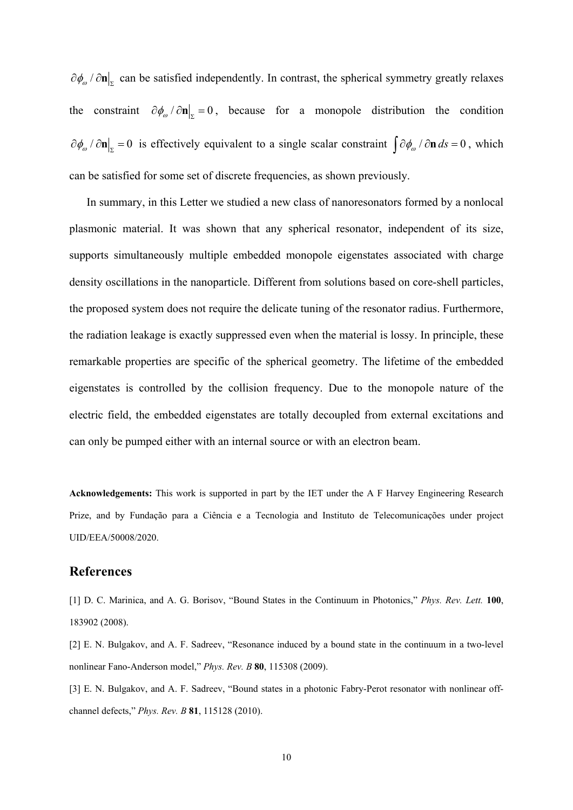$\partial \phi_{\omega}$  /  $\partial \mathbf{n}|_{\mathbf{r}}$  can be satisfied independently. In contrast, the spherical symmetry greatly relaxes the constraint  $\partial \phi_{\omega} / \partial \mathbf{n}|_{\mathbf{r}} = 0$ , because for a monopole distribution the condition  $\partial \phi_{\omega} / \partial \mathbf{n} |_{\Sigma} = 0$  is effectively equivalent to a single scalar constraint  $\int \partial \phi_{\omega} / \partial \mathbf{n} ds = 0$ , which can be satisfied for some set of discrete frequencies, as shown previously.

In summary, in this Letter we studied a new class of nanoresonators formed by a nonlocal plasmonic material. It was shown that any spherical resonator, independent of its size, supports simultaneously multiple embedded monopole eigenstates associated with charge density oscillations in the nanoparticle. Different from solutions based on core-shell particles, the proposed system does not require the delicate tuning of the resonator radius. Furthermore, the radiation leakage is exactly suppressed even when the material is lossy. In principle, these remarkable properties are specific of the spherical geometry. The lifetime of the embedded eigenstates is controlled by the collision frequency. Due to the monopole nature of the electric field, the embedded eigenstates are totally decoupled from external excitations and can only be pumped either with an internal source or with an electron beam.

**Acknowledgements:** This work is supported in part by the IET under the A F Harvey Engineering Research Prize, and by Fundação para a Ciência e a Tecnologia and Instituto de Telecomunicações under project UID/EEA/50008/2020.

#### **References**

<span id="page-9-0"></span>[1] D. C. Marinica, and A. G. Borisov, "Bound States in the Continuum in Photonics," *Phys. Rev. Lett.* **100**, 183902 (2008).

[2] E. N. Bulgakov, and A. F. Sadreev, "Resonance induced by a bound state in the continuum in a two-level nonlinear Fano-Anderson model," *Phys. Rev. B* **80**, 115308 (2009).

[3] E. N. Bulgakov, and A. F. Sadreev, "Bound states in a photonic Fabry-Perot resonator with nonlinear offchannel defects," *Phys. Rev. B* **81**, 115128 (2010).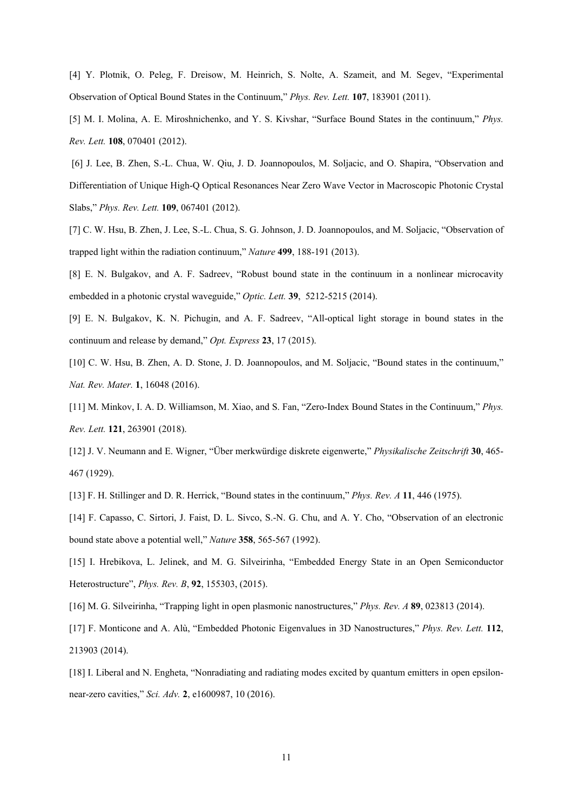[4] Y. Plotnik, O. Peleg, F. Dreisow, M. Heinrich, S. Nolte, A. Szameit, and M. Segev, "Experimental Observation of Optical Bound States in the Continuum," *Phys. Rev. Lett.* **107**, 183901 (2011).

[5] M. I. Molina, A. E. Miroshnichenko, and Y. S. Kivshar, "Surface Bound States in the continuum," *Phys. Rev. Lett.* **108**, 070401 (2012).

[6] J. Lee, B. Zhen, S.-L. Chua, W. Qiu, J. D. Joannopoulos, M. Soljacic, and O. Shapira, "Observation and Differentiation of Unique High-Q Optical Resonances Near Zero Wave Vector in Macroscopic Photonic Crystal Slabs," *Phys. Rev. Lett.* **109**, 067401 (2012).

[7] C. W. Hsu, B. Zhen, J. Lee, S.-L. Chua, S. G. Johnson, J. D. Joannopoulos, and M. Soljacic, "Observation of trapped light within the radiation continuum," *Nature* **499**, 188-191 (2013).

[8] E. N. Bulgakov, and A. F. Sadreev, "Robust bound state in the continuum in a nonlinear microcavity embedded in a photonic crystal waveguide," *Optic. Lett.* **39**, 5212-5215 (2014).

[9] E. N. Bulgakov, K. N. Pichugin, and A. F. Sadreev, "All-optical light storage in bound states in the continuum and release by demand," *Opt. Express* **23**, 17 (2015).

[10] C. W. Hsu, B. Zhen, A. D. Stone, J. D. Joannopoulos, and M. Soljacic, "Bound states in the continuum," *Nat. Rev. Mater.* **1**, 16048 (2016).

<span id="page-10-0"></span>[11] M. Minkov, I. A. D. Williamson, M. Xiao, and S. Fan, "Zero-Index Bound States in the Continuum," *Phys. Rev. Lett.* **121**, 263901 (2018).

<span id="page-10-1"></span>[12] J. V. Neumann and E. Wigner, "Über merkwürdige diskrete eigenwerte," *Physikalische Zeitschrift* **30**, 465- 467 (1929).

[13] F. H. Stillinger and D. R. Herrick, "Bound states in the continuum," *Phys. Rev. A* **11**, 446 (1975).

[14] F. Capasso, C. Sirtori, J. Faist, D. L. Sivco, S.-N. G. Chu, and A. Y. Cho, "Observation of an electronic bound state above a potential well," *Nature* **358**, 565-567 (1992).

<span id="page-10-2"></span>[15] I. Hrebikova, L. Jelinek, and M. G. Silveirinha, "Embedded Energy State in an Open Semiconductor Heterostructure", *Phys. Rev. B*, **92**, 155303, (2015).

<span id="page-10-3"></span>[16] M. G. Silveirinha, "Trapping light in open plasmonic nanostructures," *Phys. Rev. A* **89**, 023813 (2014).

<span id="page-10-4"></span>[17] F. Monticone and A. Alù, "Embedded Photonic Eigenvalues in 3D Nanostructures," *Phys. Rev. Lett.* **112**, 213903 (2014).

[18] I. Liberal and N. Engheta, "Nonradiating and radiating modes excited by quantum emitters in open epsilonnear-zero cavities," *Sci. Adv.* **2**, e1600987, 10 (2016).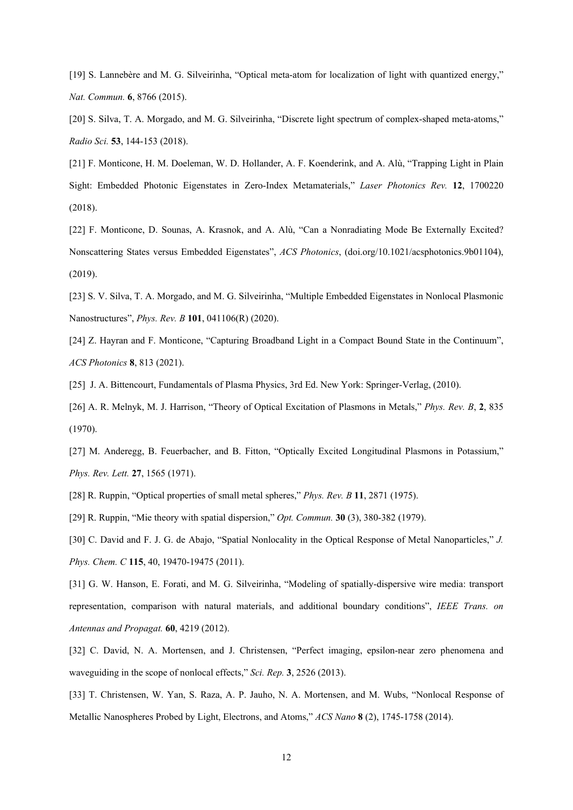[19] S. Lannebère and M. G. Silveirinha, "Optical meta-atom for localization of light with quantized energy," *Nat. Commun.* **6**, 8766 (2015).

[20] S. Silva, T. A. Morgado, and M. G. Silveirinha, "Discrete light spectrum of complex-shaped meta-atoms," *Radio Sci.* **53**, 144-153 (2018).

[21] F. Monticone, H. M. Doeleman, W. D. Hollander, A. F. Koenderink, and A. Alù, "Trapping Light in Plain Sight: Embedded Photonic Eigenstates in Zero-Index Metamaterials," *Laser Photonics Rev.* **12**, 1700220 (2018).

[22] F. Monticone, D. Sounas, A. Krasnok, and A. Alù, "Can a Nonradiating Mode Be Externally Excited? Nonscattering States versus Embedded Eigenstates", *ACS Photonics*, (doi.org/10.1021/acsphotonics.9b01104), (2019).

<span id="page-11-1"></span>[23] S. V. Silva, T. A. Morgado, and M. G. Silveirinha, "Multiple Embedded Eigenstates in Nonlocal Plasmonic Nanostructures", *Phys. Rev. B* **101**, 041106(R) (2020).

<span id="page-11-0"></span>[24] Z. Hayran and F. Monticone, "Capturing Broadband Light in a Compact Bound State in the Continuum", *ACS Photonics* **8**, 813 (2021).

<span id="page-11-2"></span>[25] J. A. Bittencourt, Fundamentals of Plasma Physics, 3rd Ed. New York: Springer-Verlag, (2010).

<span id="page-11-3"></span>[26] A. R. Melnyk, M. J. Harrison, "Theory of Optical Excitation of Plasmons in Metals," *Phys. Rev. B*, **2**, 835 (1970).

<span id="page-11-4"></span>[27] M. Anderegg, B. Feuerbacher, and B. Fitton, "Optically Excited Longitudinal Plasmons in Potassium," *Phys. Rev. Lett.* **27**, 1565 (1971).

[28] R. Ruppin, "Optical properties of small metal spheres," *Phys. Rev. B* **11**, 2871 (1975).

[29] R. Ruppin, "Mie theory with spatial dispersion," *Opt. Commun.* **30** (3), 380-382 (1979).

[30] C. David and F. J. G. de Abajo, "Spatial Nonlocality in the Optical Response of Metal Nanoparticles," *J. Phys. Chem. C* **115**, 40, 19470-19475 (2011).

[31] G. W. Hanson, E. Forati, and M. G. Silveirinha, "Modeling of spatially-dispersive wire media: transport representation, comparison with natural materials, and additional boundary conditions", *IEEE Trans. on Antennas and Propagat.* **60**, 4219 (2012).

[32] C. David, N. A. Mortensen, and J. Christensen, "Perfect imaging, epsilon-near zero phenomena and waveguiding in the scope of nonlocal effects," *Sci. Rep.* **3**, 2526 (2013).

[33] T. Christensen, W. Yan, S. Raza, A. P. Jauho, N. A. Mortensen, and M. Wubs, "Nonlocal Response of Metallic Nanospheres Probed by Light, Electrons, and Atoms," *ACS Nano* **8** (2), 1745-1758 (2014).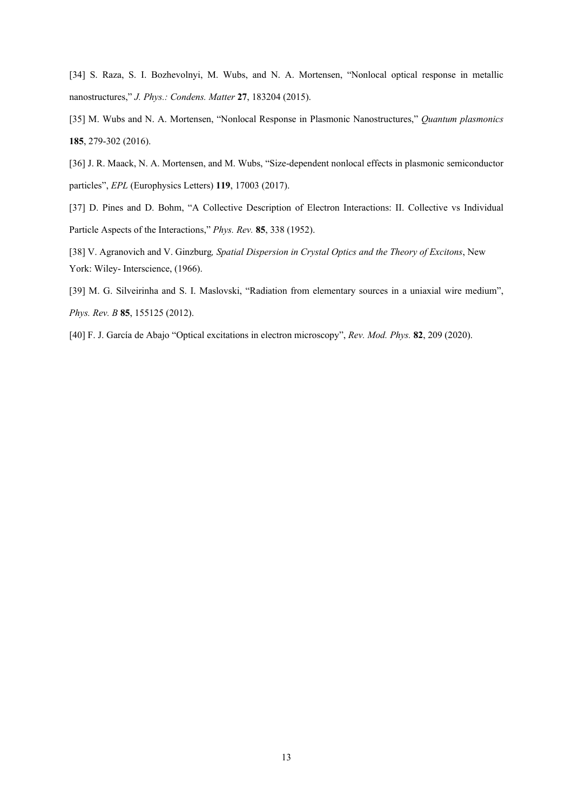[34] S. Raza, S. I. Bozhevolnyi, M. Wubs, and N. A. Mortensen, "Nonlocal optical response in metallic nanostructures," *J. Phys.: Condens. Matter* **27**, 183204 (2015).

<span id="page-12-0"></span>[35] M. Wubs and N. A. Mortensen, "Nonlocal Response in Plasmonic Nanostructures," *Quantum plasmonics*  **185**, 279-302 (2016).

- <span id="page-12-2"></span>[36] J. R. Maack, N. A. Mortensen, and M. Wubs, "Size-dependent nonlocal effects in plasmonic semiconductor particles", *EPL* (Europhysics Letters) **119**, 17003 (2017).
- <span id="page-12-1"></span>[37] D. Pines and D. Bohm, "A Collective Description of Electron Interactions: II. Collective vs Individual Particle Aspects of the Interactions," *Phys. Rev.* **85**, 338 (1952).

<span id="page-12-3"></span>[38] V. Agranovich and V. Ginzburg*, Spatial Dispersion in Crystal Optics and the Theory of Excitons*, New York: Wiley- Interscience, (1966).

<span id="page-12-4"></span>[39] M. G. Silveirinha and S. I. Maslovski, "Radiation from elementary sources in a uniaxial wire medium", *Phys. Rev. B* **85**, 155125 (2012).

<span id="page-12-5"></span>[40] F. J. García de Abajo "Optical excitations in electron microscopy", *Rev. Mod. Phys.* **82**, 209 (2020).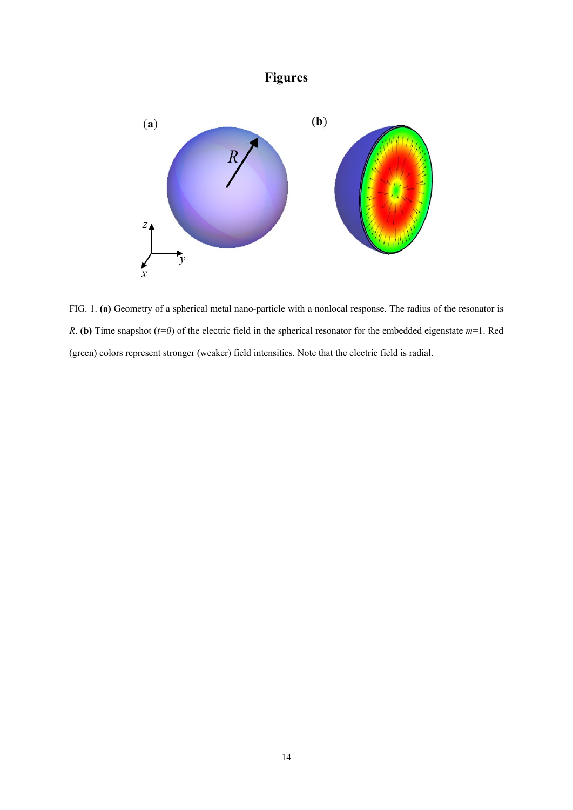

**Figures**

<span id="page-13-0"></span>FIG. 1. **(a)** Geometry of a spherical metal nano-particle with a nonlocal response. The radius of the resonator is *R*. **(b)** Time snapshot (*t=0*) of the electric field in the spherical resonator for the embedded eigenstate *m*=1. Red (green) colors represent stronger (weaker) field intensities. Note that the electric field is radial.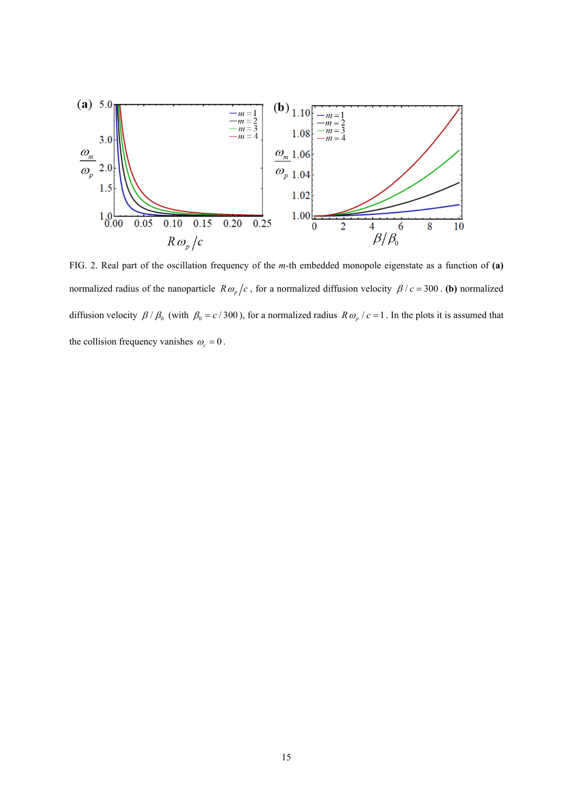

<span id="page-14-0"></span>FIG. 2. Real part of the oscillation frequency of the *m*-th embedded monopole eigenstate as a function of **(a)** normalized radius of the nanoparticle  $R \omega_p/c$ , for a normalized diffusion velocity  $\beta/c = 300$ . (b) normalized diffusion velocity  $\beta / \beta_0$  (with  $\beta_0 = c / 300$ ), for a normalized radius  $R \omega_p / c = 1$ . In the plots it is assumed that the collision frequency vanishes  $\omega_c = 0$ .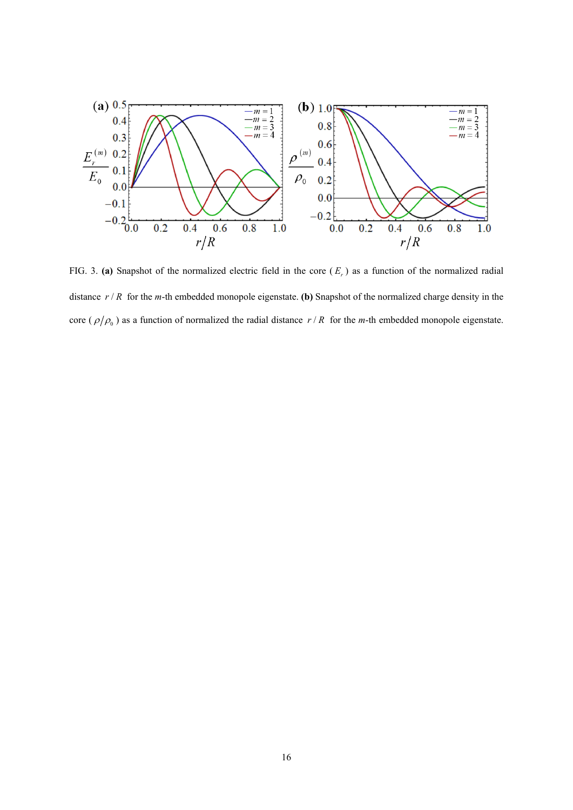

<span id="page-15-0"></span>FIG. 3. (a) Snapshot of the normalized electric field in the core  $(E_r)$  as a function of the normalized radial distance  $r/R$  for the *m*-th embedded monopole eigenstate. **(b)** Snapshot of the normalized charge density in the core ( $\rho/\rho_0$ ) as a function of normalized the radial distance  $r/R$  for the *m*-th embedded monopole eigenstate.